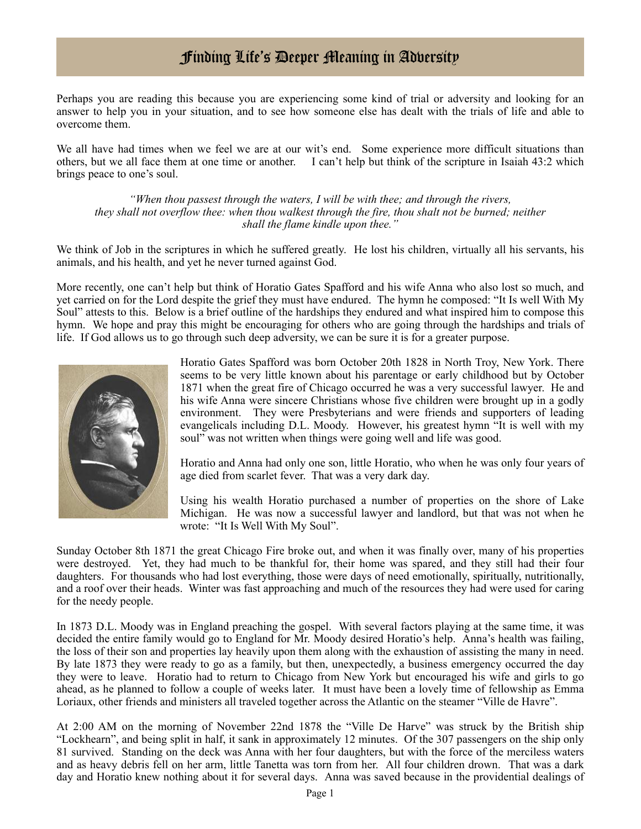## Finding Life's Deeper Meaning in Adversity

Perhaps you are reading this because you are experiencing some kind of trial or adversity and looking for an answer to help you in your situation, and to see how someone else has dealt with the trials of life and able to overcome them.

We all have had times when we feel we are at our wit's end. Some experience more difficult situations than others, but we all face them at one time or another. I can't help but think of the scripture in Isaiah 43:2 which brings peace to one's soul.

*"When thou passest through the waters, I will be with thee; and through the rivers, they shall not overflow thee: when thou walkest through the fire, thou shalt not be burned; neither shall the flame kindle upon thee."*

We think of Job in the scriptures in which he suffered greatly. He lost his children, virtually all his servants, his animals, and his health, and yet he never turned against God.

More recently, one can't help but think of Horatio Gates Spafford and his wife Anna who also lost so much, and yet carried on for the Lord despite the grief they must have endured. The hymn he composed: "It Is well With My Soul" attests to this. Below is a brief outline of the hardships they endured and what inspired him to compose this hymn. We hope and pray this might be encouraging for others who are going through the hardships and trials of life. If God allows us to go through such deep adversity, we can be sure it is for a greater purpose.



Horatio Gates Spafford was born October 20th 1828 in North Troy, New York. There seems to be very little known about his parentage or early childhood but by October 1871 when the great fire of Chicago occurred he was a very successful lawyer. He and his wife Anna were sincere Christians whose five children were brought up in a godly environment. They were Presbyterians and were friends and supporters of leading evangelicals including D.L. Moody. However, his greatest hymn "It is well with my soul" was not written when things were going well and life was good.

Horatio and Anna had only one son, little Horatio, who when he was only four years of age died from scarlet fever. That was a very dark day.

Using his wealth Horatio purchased a number of properties on the shore of Lake Michigan. He was now a successful lawyer and landlord, but that was not when he wrote: "It Is Well With My Soul".

Sunday October 8th 1871 the great Chicago Fire broke out, and when it was finally over, many of his properties were destroyed. Yet, they had much to be thankful for, their home was spared, and they still had their four daughters. For thousands who had lost everything, those were days of need emotionally, spiritually, nutritionally, and a roof over their heads. Winter was fast approaching and much of the resources they had were used for caring for the needy people.

In 1873 D.L. Moody was in England preaching the gospel. With several factors playing at the same time, it was decided the entire family would go to England for Mr. Moody desired Horatio's help. Anna's health was failing, the loss of their son and properties lay heavily upon them along with the exhaustion of assisting the many in need. By late 1873 they were ready to go as a family, but then, unexpectedly, a business emergency occurred the day they were to leave. Horatio had to return to Chicago from New York but encouraged his wife and girls to go ahead, as he planned to follow a couple of weeks later. It must have been a lovely time of fellowship as Emma Loriaux, other friends and ministers all traveled together across the Atlantic on the steamer "Ville de Havre".

At 2:00 AM on the morning of November 22nd 1878 the "Ville De Harve" was struck by the British ship "Lockhearn", and being split in half, it sank in approximately 12 minutes. Of the 307 passengers on the ship only 81 survived. Standing on the deck was Anna with her four daughters, but with the force of the merciless waters and as heavy debris fell on her arm, little Tanetta was torn from her. All four children drown. That was a dark day and Horatio knew nothing about it for several days. Anna was saved because in the providential dealings of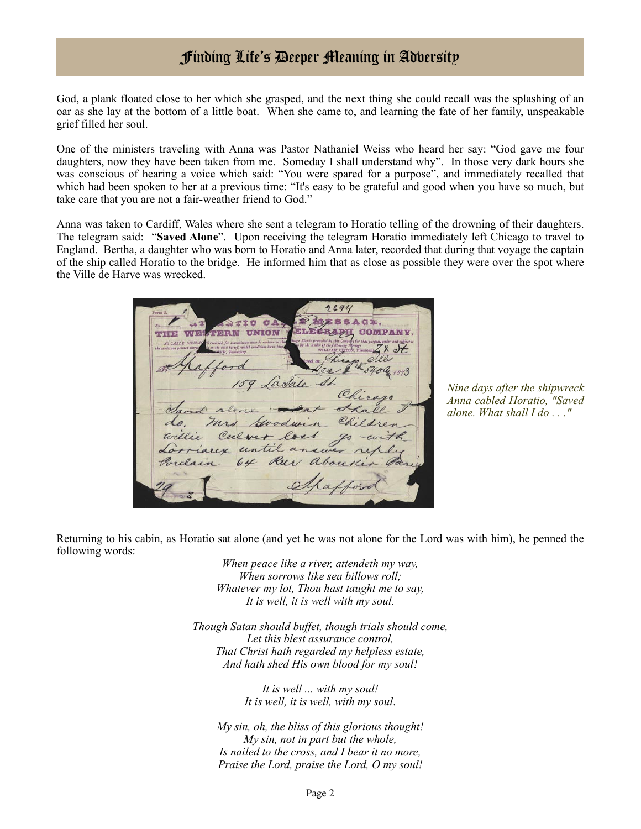## Finding Life's Deeper Meaning in Adversity

God, a plank floated close to her which she grasped, and the next thing she could recall was the splashing of an oar as she lay at the bottom of a little boat. When she came to, and learning the fate of her family, unspeakable grief filled her soul.

One of the ministers traveling with Anna was Pastor Nathaniel Weiss who heard her say: "God gave me four daughters, now they have been taken from me. Someday I shall understand why". In those very dark hours she was conscious of hearing a voice which said: "You were spared for a purpose", and immediately recalled that which had been spoken to her at a previous time: "It's easy to be grateful and good when you have so much, but take care that you are not a fair-weather friend to God."

Anna was taken to Cardiff, Wales where she sent a telegram to Horatio telling of the drowning of their daughters. The telegram said: "**Saved Alone**". Upon receiving the telegram Horatio immediately left Chicago to travel to England. Bertha, a daughter who was born to Horatio and Anna later, recorded that during that voyage the captain of the ship called Horatio to the bridge. He informed him that as close as possible they were over the spot where the Ville de Harve was wrecked.

2694 ESSACE CCA **UNION THE TRE TVT** foodwin ver lost until an Ru about

*Nine days after the shipwreck Anna cabled Horatio, "Saved alone. What shall I do . . ."*

Returning to his cabin, as Horatio sat alone (and yet he was not alone for the Lord was with him), he penned the following words:

> *When peace like a river, attendeth my way, When sorrows like sea billows roll; Whatever my lot, Thou hast taught me to say, It is well, it is well with my soul.*

*Though Satan should buffet, though trials should come, Let this blest assurance control, That Christ hath regarded my helpless estate, And hath shed His own blood for my soul!*

> *It is well ... with my soul! It is well, it is well, with my soul*.

*My sin, oh, the bliss of this glorious thought! My sin, not in part but the whole, Is nailed to the cross, and I bear it no more, Praise the Lord, praise the Lord, O my soul!*